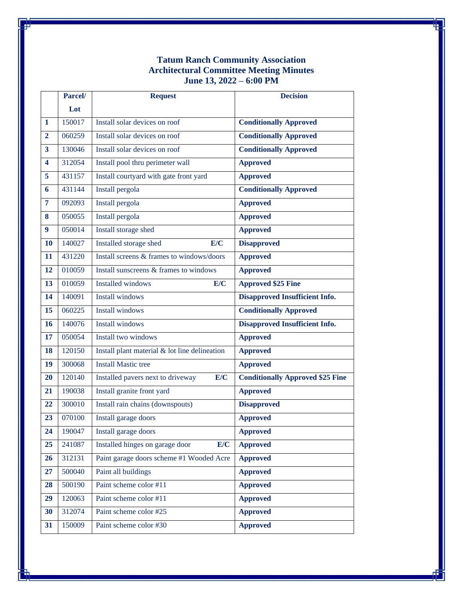## **Tatum Ranch Community Association Architectural Committee Meeting Minutes June 13, 2022 – 6:00 PM**

|                | Parcel/ | <b>Request</b>                                | <b>Decision</b>                         |
|----------------|---------|-----------------------------------------------|-----------------------------------------|
|                | Lot     |                                               |                                         |
| 1              | 150017  | Install solar devices on roof                 | <b>Conditionally Approved</b>           |
| $\overline{2}$ | 060259  | Install solar devices on roof                 | <b>Conditionally Approved</b>           |
| 3              | 130046  | Install solar devices on roof                 | <b>Conditionally Approved</b>           |
| 4              | 312054  | Install pool thru perimeter wall              | <b>Approved</b>                         |
| 5              | 431157  | Install courtyard with gate front yard        | <b>Approved</b>                         |
| 6              | 431144  | Install pergola                               | <b>Conditionally Approved</b>           |
| $\overline{7}$ | 092093  | Install pergola                               | <b>Approved</b>                         |
| 8              | 050055  | Install pergola                               | <b>Approved</b>                         |
| 9              | 050014  | Install storage shed                          | <b>Approved</b>                         |
| <b>10</b>      | 140027  | Installed storage shed<br>E/C                 | <b>Disapproved</b>                      |
| 11             | 431220  | Install screens & frames to windows/doors     | <b>Approved</b>                         |
| 12             | 010059  | Install sunscreens & frames to windows        | <b>Approved</b>                         |
| 13             | 010059  | <b>Installed windows</b><br>E/C               | <b>Approved \$25 Fine</b>               |
| 14             | 140091  | <b>Install windows</b>                        | Disapproved Insufficient Info.          |
| 15             | 060225  | <b>Install windows</b>                        | <b>Conditionally Approved</b>           |
| 16             | 140076  | <b>Install windows</b>                        | Disapproved Insufficient Info.          |
| 17             | 050054  | Install two windows                           | <b>Approved</b>                         |
| 18             | 120150  | Install plant material & lot line delineation | <b>Approved</b>                         |
| 19             | 300068  | <b>Install Mastic tree</b>                    | <b>Approved</b>                         |
| 20             | 120140  | E/C<br>Installed pavers next to driveway      | <b>Conditionally Approved \$25 Fine</b> |
| 21             | 190038  | Install granite front yard                    | <b>Approved</b>                         |
| 22             | 300010  | Install rain chains (downspouts)              | <b>Disapproved</b>                      |
| 23             | 070100  | Install garage doors                          | <b>Approved</b>                         |
| 24             | 190047  | Install garage doors                          | <b>Approved</b>                         |
| 25             | 241087  | Installed hinges on garage door<br>E/C        | <b>Approved</b>                         |
| 26             | 312131  | Paint garage doors scheme #1 Wooded Acre      | <b>Approved</b>                         |
| 27             | 500040  | Paint all buildings                           | <b>Approved</b>                         |
| 28             | 500190  | Paint scheme color #11                        | <b>Approved</b>                         |
| 29             | 120063  | Paint scheme color #11                        | <b>Approved</b>                         |
| 30             | 312074  | Paint scheme color #25                        | <b>Approved</b>                         |
| 31             | 150009  | Paint scheme color #30                        | <b>Approved</b>                         |